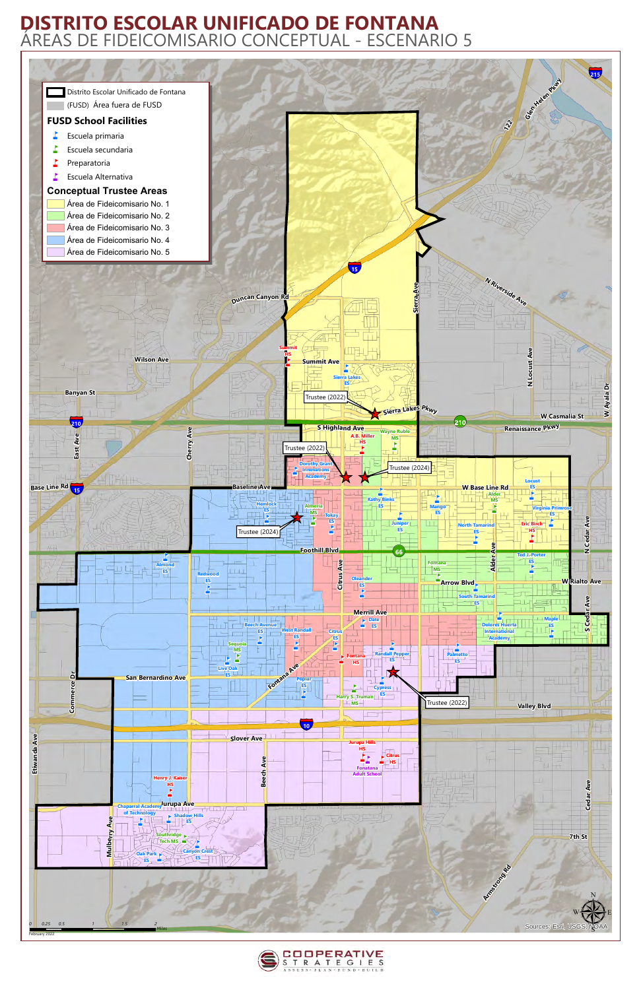



## **DISTRITO ESCOLAR UNIFICADO DE FONTANA** ÁREAS DE FIDEICOMISARIO CONCEPTUAL - ESCENARIO 5